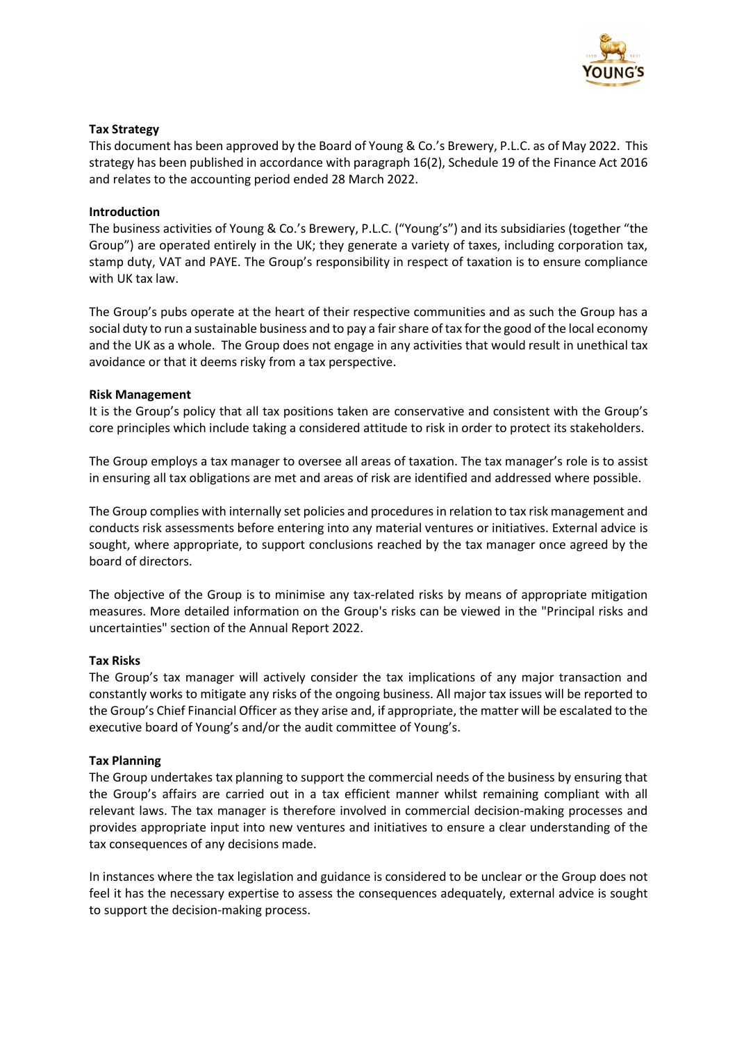

## **Tax Strategy**

This document has been approved by the Board of Young & Co.'s Brewery, P.L.C. as of May 2022. This strategy has been published in accordance with paragraph 16(2), Schedule 19 of the Finance Act 2016 and relates to the accounting period ended 28 March 2022.

## **Introduction**

The business activities of Young & Co.'s Brewery, P.L.C. ("Young's") and its subsidiaries (together "the Group") are operated entirely in the UK; they generate a variety of taxes, including corporation tax, stamp duty, VAT and PAYE. The Group's responsibility in respect of taxation is to ensure compliance with UK tax law.

The Group's pubs operate at the heart of their respective communities and as such the Group has a social duty to run a sustainable business and to pay a fair share of tax for the good of the local economy and the UK as a whole. The Group does not engage in any activities that would result in unethical tax avoidance or that it deems risky from a tax perspective.

### **Risk Management**

It is the Group's policy that all tax positions taken are conservative and consistent with the Group's core principles which include taking a considered attitude to risk in order to protect its stakeholders.

The Group employs a tax manager to oversee all areas of taxation. The tax manager's role is to assist in ensuring all tax obligations are met and areas of risk are identified and addressed where possible.

The Group complies with internally set policies and procedures in relation to tax risk management and conducts risk assessments before entering into any material ventures or initiatives. External advice is sought, where appropriate, to support conclusions reached by the tax manager once agreed by the board of directors.

The objective of the Group is to minimise any tax-related risks by means of appropriate mitigation measures. More detailed information on the Group's risks can be viewed in the "Principal risks and uncertainties" section of the Annual Report 2022.

### **Tax Risks**

The Group's tax manager will actively consider the tax implications of any major transaction and constantly works to mitigate any risks of the ongoing business. All major tax issues will be reported to the Group's Chief Financial Officer as they arise and, if appropriate, the matter will be escalated to the executive board of Young's and/or the audit committee of Young's.

### **Tax Planning**

The Group undertakes tax planning to support the commercial needs of the business by ensuring that the Group's affairs are carried out in a tax efficient manner whilst remaining compliant with all relevant laws. The tax manager is therefore involved in commercial decision-making processes and provides appropriate input into new ventures and initiatives to ensure a clear understanding of the tax consequences of any decisions made.

In instances where the tax legislation and guidance is considered to be unclear or the Group does not feel it has the necessary expertise to assess the consequences adequately, external advice is sought to support the decision-making process.